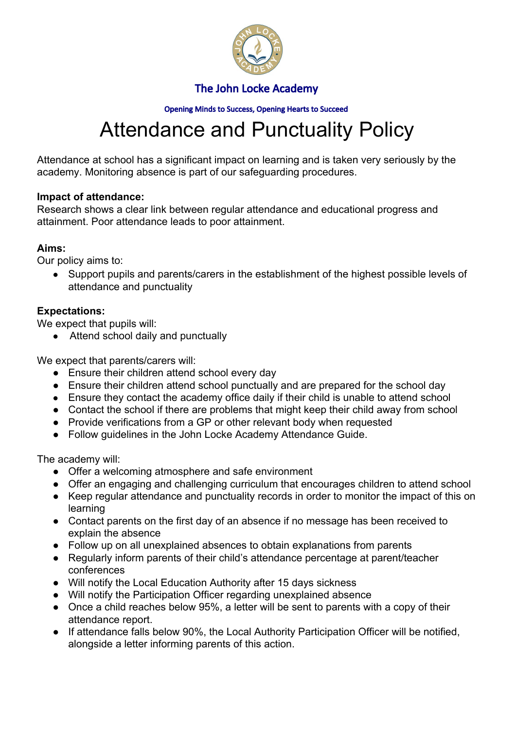

Opening Minds to Success, Opening Hearts to Succeed

# Attendance and Punctuality Policy

Attendance at school has a significant impact on learning and is taken very seriously by the academy. Monitoring absence is part of our safeguarding procedures.

#### **Impact of attendance:**

Research shows a clear link between regular attendance and educational progress and attainment. Poor attendance leads to poor attainment.

#### **Aims:**

Our policy aims to:

● Support pupils and parents/carers in the establishment of the highest possible levels of attendance and punctuality

### **Expectations:**

We expect that pupils will:

• Attend school daily and punctually

We expect that parents/carers will:

- Ensure their children attend school every day
- Ensure their children attend school punctually and are prepared for the school day
- Ensure they contact the academy office daily if their child is unable to attend school
- Contact the school if there are problems that might keep their child away from school
- Provide verifications from a GP or other relevant body when requested
- Follow guidelines in the John Locke Academy Attendance Guide.

The academy will:

- Offer a welcoming atmosphere and safe environment
- Offer an engaging and challenging curriculum that encourages children to attend school
- Keep regular attendance and punctuality records in order to monitor the impact of this on learning
- Contact parents on the first day of an absence if no message has been received to explain the absence
- Follow up on all unexplained absences to obtain explanations from parents
- Regularly inform parents of their child's attendance percentage at parent/teacher conferences
- Will notify the Local Education Authority after 15 days sickness
- Will notify the Participation Officer regarding unexplained absence
- Once a child reaches below 95%, a letter will be sent to parents with a copy of their attendance report.
- If attendance falls below 90%, the Local Authority Participation Officer will be notified, alongside a letter informing parents of this action.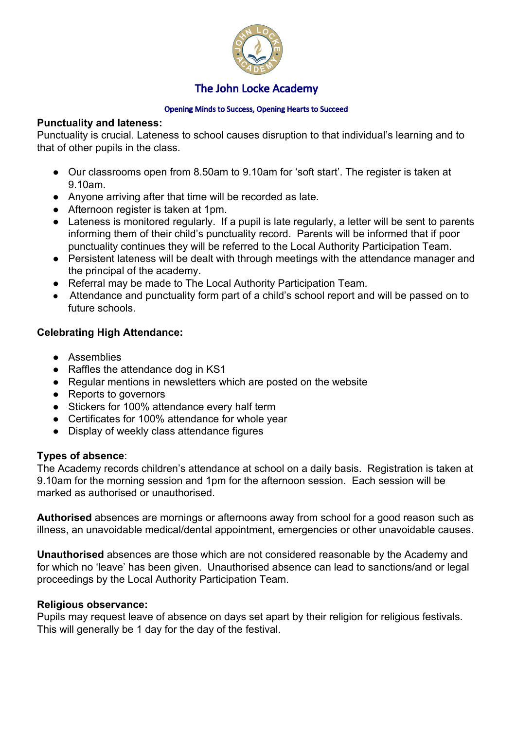

#### Opening Minds to Success, Opening Hearts to Succeed

#### **Punctuality and lateness:**

Punctuality is crucial. Lateness to school causes disruption to that individual's learning and to that of other pupils in the class.

- Our classrooms open from 8.50am to 9.10am for 'soft start'. The register is taken at 9.10am.
- Anyone arriving after that time will be recorded as late.
- Afternoon register is taken at 1pm.
- Lateness is monitored regularly. If a pupil is late regularly, a letter will be sent to parents informing them of their child's punctuality record. Parents will be informed that if poor punctuality continues they will be referred to the Local Authority Participation Team.
- Persistent lateness will be dealt with through meetings with the attendance manager and the principal of the academy.
- Referral may be made to The Local Authority Participation Team.
- Attendance and punctuality form part of a child's school report and will be passed on to future schools.

### **Celebrating High Attendance:**

- Assemblies
- Raffles the attendance dog in KS1
- Regular mentions in newsletters which are posted on the website
- Reports to governors
- Stickers for 100% attendance every half term
- Certificates for 100% attendance for whole year
- Display of weekly class attendance figures

#### **Types of absence**:

The Academy records children's attendance at school on a daily basis. Registration is taken at 9.10am for the morning session and 1pm for the afternoon session. Each session will be marked as authorised or unauthorised.

**Authorised** absences are mornings or afternoons away from school for a good reason such as illness, an unavoidable medical/dental appointment, emergencies or other unavoidable causes.

**Unauthorised** absences are those which are not considered reasonable by the Academy and for which no 'leave' has been given. Unauthorised absence can lead to sanctions/and or legal proceedings by the Local Authority Participation Team.

#### **Religious observance:**

Pupils may request leave of absence on days set apart by their religion for religious festivals. This will generally be 1 day for the day of the festival.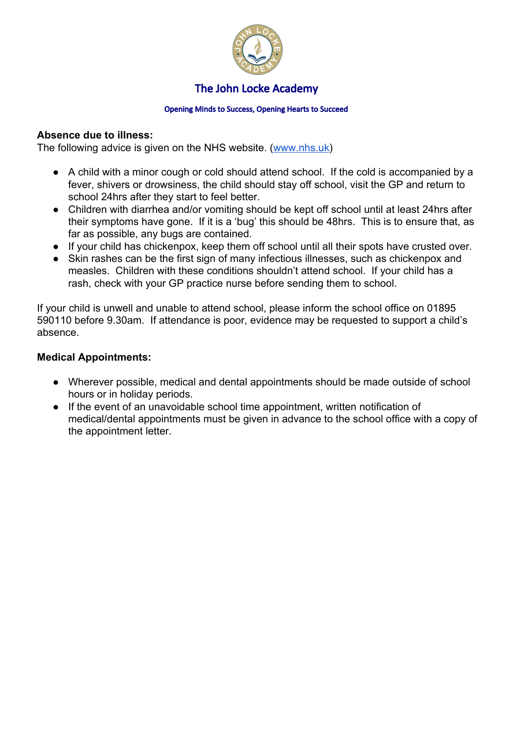

#### Opening Minds to Success, Opening Hearts to Succeed

#### **Absence due to illness:**

The following advice is given on the NHS website. [\(www.nhs.uk\)](http://www.nhs.uk/)

- A child with a minor cough or cold should attend school. If the cold is accompanied by a fever, shivers or drowsiness, the child should stay off school, visit the GP and return to school 24hrs after they start to feel better.
- Children with diarrhea and/or vomiting should be kept off school until at least 24hrs after their symptoms have gone. If it is a 'bug' this should be 48hrs. This is to ensure that, as far as possible, any bugs are contained.
- If your child has chickenpox, keep them off school until all their spots have crusted over.
- Skin rashes can be the first sign of many infectious illnesses, such as chickenpox and measles. Children with these conditions shouldn't attend school. If your child has a rash, check with your GP practice nurse before sending them to school.

If your child is unwell and unable to attend school, please inform the school office on 01895 590110 before 9.30am. If attendance is poor, evidence may be requested to support a child's absence.

#### **Medical Appointments:**

- Wherever possible, medical and dental appointments should be made outside of school hours or in holiday periods.
- If the event of an unavoidable school time appointment, written notification of medical/dental appointments must be given in advance to the school office with a copy of the appointment letter.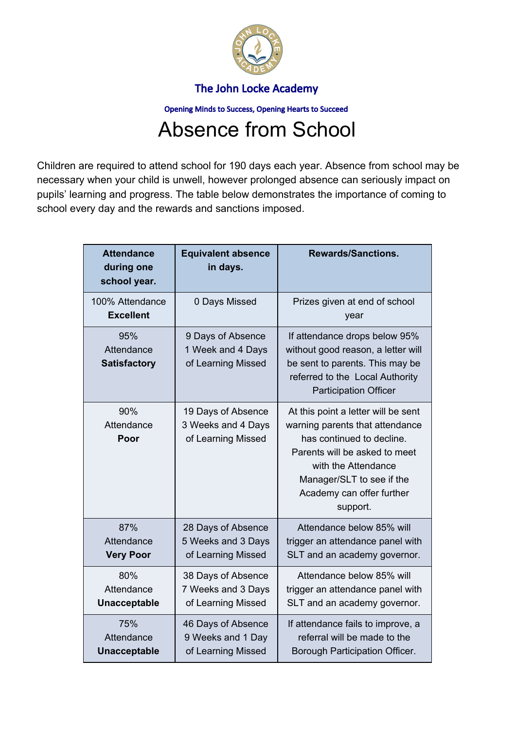

Opening Minds to Success, Opening Hearts to Succeed

# Absence from School

Children are required to attend school for 190 days each year. Absence from school may be necessary when your child is unwell, however prolonged absence can seriously impact on pupils' learning and progress. The table below demonstrates the importance of coming to school every day and the rewards and sanctions imposed.

| <b>Attendance</b><br>during one<br>school year. | <b>Equivalent absence</b><br>in days.                          | <b>Rewards/Sanctions.</b>                                                                                                                                                                                                         |
|-------------------------------------------------|----------------------------------------------------------------|-----------------------------------------------------------------------------------------------------------------------------------------------------------------------------------------------------------------------------------|
| 100% Attendance<br><b>Excellent</b>             | 0 Days Missed                                                  | Prizes given at end of school<br>year                                                                                                                                                                                             |
| 95%<br>Attendance<br><b>Satisfactory</b>        | 9 Days of Absence<br>1 Week and 4 Days<br>of Learning Missed   | If attendance drops below 95%<br>without good reason, a letter will<br>be sent to parents. This may be<br>referred to the Local Authority<br><b>Participation Officer</b>                                                         |
| 90%<br>Attendance<br>Poor                       | 19 Days of Absence<br>3 Weeks and 4 Days<br>of Learning Missed | At this point a letter will be sent<br>warning parents that attendance<br>has continued to decline.<br>Parents will be asked to meet<br>with the Attendance<br>Manager/SLT to see if the<br>Academy can offer further<br>support. |
| 87%<br>Attendance<br><b>Very Poor</b>           | 28 Days of Absence<br>5 Weeks and 3 Days<br>of Learning Missed | Attendance below 85% will<br>trigger an attendance panel with<br>SLT and an academy governor.                                                                                                                                     |
| 80%<br>Attendance<br><b>Unacceptable</b>        | 38 Days of Absence<br>7 Weeks and 3 Days<br>of Learning Missed | Attendance below 85% will<br>trigger an attendance panel with<br>SLT and an academy governor.                                                                                                                                     |
| 75%<br>Attendance<br><b>Unacceptable</b>        | 46 Days of Absence<br>9 Weeks and 1 Day<br>of Learning Missed  | If attendance fails to improve, a<br>referral will be made to the<br>Borough Participation Officer.                                                                                                                               |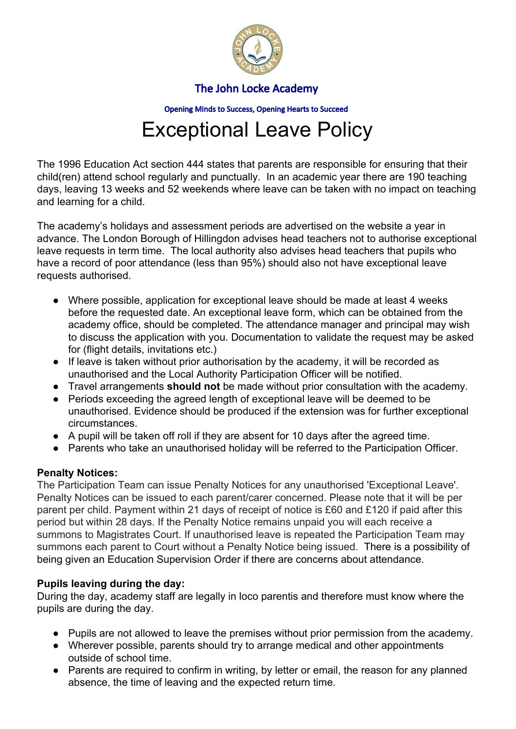

Opening Minds to Success, Opening Hearts to Succeed

# Exceptional Leave Policy

The 1996 Education Act section 444 states that parents are responsible for ensuring that their child(ren) attend school regularly and punctually. In an academic year there are 190 teaching days, leaving 13 weeks and 52 weekends where leave can be taken with no impact on teaching and learning for a child.

The academy's holidays and assessment periods are advertised on the website a year in advance. The London Borough of Hillingdon advises head teachers not to authorise exceptional leave requests in term time. The local authority also advises head teachers that pupils who have a record of poor attendance (less than 95%) should also not have exceptional leave requests authorised.

- Where possible, application for exceptional leave should be made at least 4 weeks before the requested date. An exceptional leave form, which can be obtained from the academy office, should be completed. The attendance manager and principal may wish to discuss the application with you. Documentation to validate the request may be asked for (flight details, invitations etc.)
- If leave is taken without prior authorisation by the academy, it will be recorded as unauthorised and the Local Authority Participation Officer will be notified.
- Travel arrangements **should not** be made without prior consultation with the academy.
- Periods exceeding the agreed length of exceptional leave will be deemed to be unauthorised. Evidence should be produced if the extension was for further exceptional circumstances.
- A pupil will be taken off roll if they are absent for 10 days after the agreed time.
- Parents who take an unauthorised holiday will be referred to the Participation Officer.

#### **Penalty Notices:**

The Participation Team can issue Penalty Notices for any unauthorised 'Exceptional Leave'. Penalty Notices can be issued to each parent/carer concerned. Please note that it will be per parent per child. Payment within 21 days of receipt of notice is £60 and £120 if paid after this period but within 28 days. If the Penalty Notice remains unpaid you will each receive a summons to Magistrates Court. If unauthorised leave is repeated the Participation Team may summons each parent to Court without a Penalty Notice being issued. There is a possibility of being given an Education Supervision Order if there are concerns about attendance.

#### **Pupils leaving during the day:**

During the day, academy staff are legally in loco parentis and therefore must know where the pupils are during the day.

- Pupils are not allowed to leave the premises without prior permission from the academy.
- Wherever possible, parents should try to arrange medical and other appointments outside of school time.
- Parents are required to confirm in writing, by letter or email, the reason for any planned absence, the time of leaving and the expected return time.